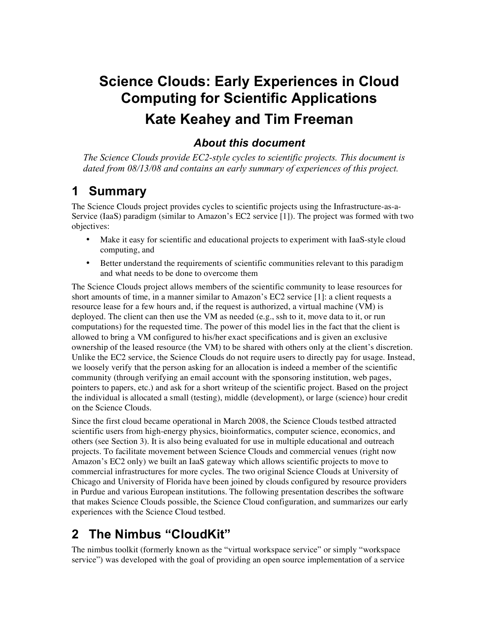# **Science Clouds: Early Experiences in Cloud Computing for Scientific Applications Kate Keahey and Tim Freeman**

#### *About this document*

*The Science Clouds provide EC2-style cycles to scientific projects. This document is dated from 08/13/08 and contains an early summary of experiences of this project.*

### **1 Summary**

The Science Clouds project provides cycles to scientific projects using the Infrastructure-as-a-Service (IaaS) paradigm (similar to Amazon's EC2 service [1]). The project was formed with two objectives:

- Make it easy for scientific and educational projects to experiment with IaaS-style cloud computing, and
- Better understand the requirements of scientific communities relevant to this paradigm and what needs to be done to overcome them

The Science Clouds project allows members of the scientific community to lease resources for short amounts of time, in a manner similar to Amazon's EC2 service [1]: a client requests a resource lease for a few hours and, if the request is authorized, a virtual machine (VM) is deployed. The client can then use the VM as needed (e.g., ssh to it, move data to it, or run computations) for the requested time. The power of this model lies in the fact that the client is allowed to bring a VM configured to his/her exact specifications and is given an exclusive ownership of the leased resource (the VM) to be shared with others only at the client's discretion. Unlike the EC2 service, the Science Clouds do not require users to directly pay for usage. Instead, we loosely verify that the person asking for an allocation is indeed a member of the scientific community (through verifying an email account with the sponsoring institution, web pages, pointers to papers, etc.) and ask for a short writeup of the scientific project. Based on the project the individual is allocated a small (testing), middle (development), or large (science) hour credit on the Science Clouds.

Since the first cloud became operational in March 2008, the Science Clouds testbed attracted scientific users from high-energy physics, bioinformatics, computer science, economics, and others (see Section 3). It is also being evaluated for use in multiple educational and outreach projects. To facilitate movement between Science Clouds and commercial venues (right now Amazon's EC2 only) we built an IaaS gateway which allows scientific projects to move to commercial infrastructures for more cycles. The two original Science Clouds at University of Chicago and University of Florida have been joined by clouds configured by resource providers in Purdue and various European institutions. The following presentation describes the software that makes Science Clouds possible, the Science Cloud configuration, and summarizes our early experiences with the Science Cloud testbed.

## **2 The Nimbus "CloudKit"**

The nimbus toolkit (formerly known as the "virtual workspace service" or simply "workspace service") was developed with the goal of providing an open source implementation of a service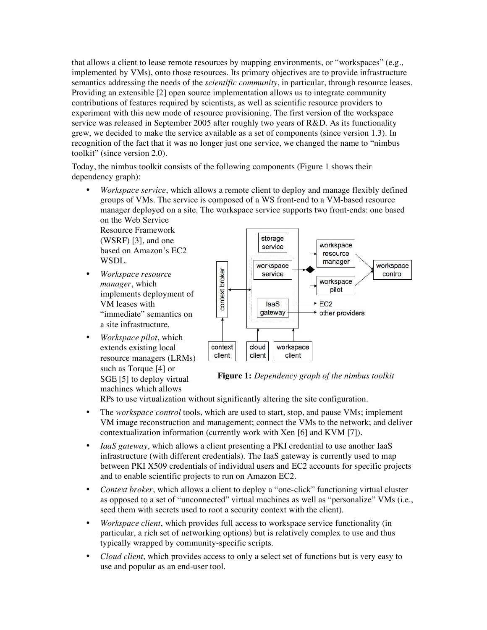that allows a client to lease remote resources by mapping environments, or "workspaces" (e.g., implemented by VMs), onto those resources. Its primary objectives are to provide infrastructure semantics addressing the needs of the *scientific community*, in particular, through resource leases. Providing an extensible [2] open source implementation allows us to integrate community contributions of features required by scientists, as well as scientific resource providers to experiment with this new mode of resource provisioning. The first version of the workspace service was released in September 2005 after roughly two years of R&D. As its functionality grew, we decided to make the service available as a set of components (since version 1.3). In recognition of the fact that it was no longer just one service, we changed the name to "nimbus toolkit" (since version 2.0).

Today, the nimbus toolkit consists of the following components (Figure 1 shows their dependency graph):

• *Workspace service*, which allows a remote client to deploy and manage flexibly defined groups of VMs. The service is composed of a WS front-end to a VM-based resource manager deployed on a site. The workspace service supports two front-ends: one based on the Web Service

Resource Framework (WSRF) [3], and one based on Amazon's EC2 WSDL.

- *Workspace resource manager*, which implements deployment of VM leases with "immediate" semantics on a site infrastructure.
- *Workspace pilot*, which extends existing local resource managers (LRMs) such as Torque [4] or SGE [5] to deploy virtual machines which allows



**Figure 1:** *Dependency graph of the nimbus toolkit*

RPs to use virtualization without significantly altering the site configuration.

- The *workspace control* tools, which are used to start, stop, and pause VMs; implement VM image reconstruction and management; connect the VMs to the network; and deliver contextualization information (currently work with Xen [6] and KVM [7]).
- *IaaS gateway*, which allows a client presenting a PKI credential to use another IaaS infrastructure (with different credentials). The IaaS gateway is currently used to map between PKI X509 credentials of individual users and EC2 accounts for specific projects and to enable scientific projects to run on Amazon EC2.
- *Context broker*, which allows a client to deploy a "one-click" functioning virtual cluster as opposed to a set of "unconnected" virtual machines as well as "personalize" VMs (i.e., seed them with secrets used to root a security context with the client).
- *Workspace client*, which provides full access to workspace service functionality (in particular, a rich set of networking options) but is relatively complex to use and thus typically wrapped by community-specific scripts.
- *Cloud client*, which provides access to only a select set of functions but is very easy to use and popular as an end-user tool.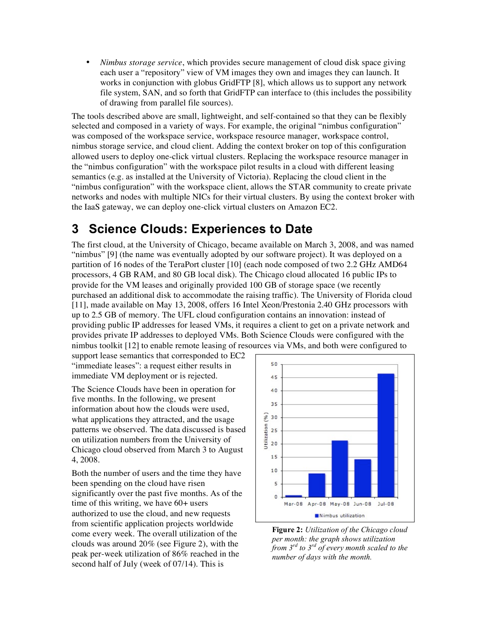• *Nimbus storage service*, which provides secure management of cloud disk space giving each user a "repository" view of VM images they own and images they can launch. It works in conjunction with globus GridFTP [8], which allows us to support any network file system, SAN, and so forth that GridFTP can interface to (this includes the possibility of drawing from parallel file sources).

The tools described above are small, lightweight, and self-contained so that they can be flexibly selected and composed in a variety of ways. For example, the original "nimbus configuration" was composed of the workspace service, workspace resource manager, workspace control, nimbus storage service, and cloud client. Adding the context broker on top of this configuration allowed users to deploy one-click virtual clusters. Replacing the workspace resource manager in the "nimbus configuration" with the workspace pilot results in a cloud with different leasing semantics (e.g. as installed at the University of Victoria). Replacing the cloud client in the "nimbus configuration" with the workspace client, allows the STAR community to create private networks and nodes with multiple NICs for their virtual clusters. By using the context broker with the IaaS gateway, we can deploy one-click virtual clusters on Amazon EC2.

## **3 Science Clouds: Experiences to Date**

The first cloud, at the University of Chicago, became available on March 3, 2008, and was named "nimbus" [9] (the name was eventually adopted by our software project). It was deployed on a partition of 16 nodes of the TeraPort cluster [10] (each node composed of two 2.2 GHz AMD64 processors, 4 GB RAM, and 80 GB local disk). The Chicago cloud allocated 16 public IPs to provide for the VM leases and originally provided 100 GB of storage space (we recently purchased an additional disk to accommodate the raising traffic). The University of Florida cloud [11], made available on May 13, 2008, offers 16 Intel Xeon/Prestonia 2.40 GHz processors with up to 2.5 GB of memory. The UFL cloud configuration contains an innovation: instead of providing public IP addresses for leased VMs, it requires a client to get on a private network and provides private IP addresses to deployed VMs. Both Science Clouds were configured with the nimbus toolkit [12] to enable remote leasing of resources via VMs, and both were configured to

support lease semantics that corresponded to EC2 "immediate leases": a request either results in immediate VM deployment or is rejected.

The Science Clouds have been in operation for five months. In the following, we present information about how the clouds were used, what applications they attracted, and the usage patterns we observed. The data discussed is based on utilization numbers from the University of Chicago cloud observed from March 3 to August 4, 2008.

Both the number of users and the time they have been spending on the cloud have risen significantly over the past five months. As of the time of this writing, we have 60+ users authorized to use the cloud, and new requests from scientific application projects worldwide come every week. The overall utilization of the clouds was around 20% (see Figure 2), with the peak per-week utilization of 86% reached in the second half of July (week of 07/14). This is



**Figure 2:** *Utilization of the Chicago cloud per month: the graph shows utilization from 3rd to 3rd of every month scaled to the number of days with the month.*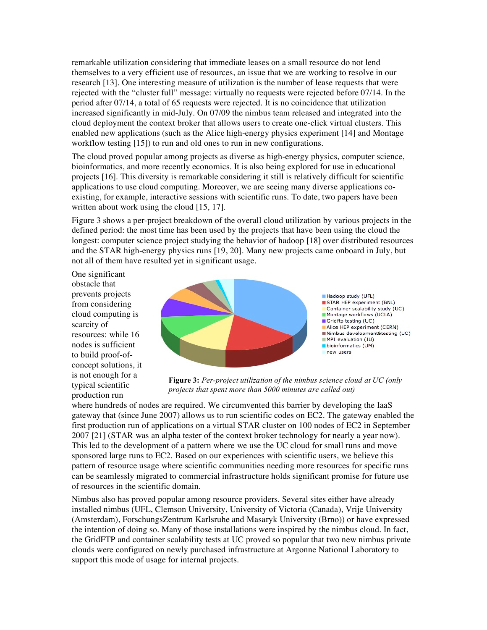remarkable utilization considering that immediate leases on a small resource do not lend themselves to a very efficient use of resources, an issue that we are working to resolve in our research [13]. One interesting measure of utilization is the number of lease requests that were rejected with the "cluster full" message: virtually no requests were rejected before 07/14. In the period after 07/14, a total of 65 requests were rejected. It is no coincidence that utilization increased significantly in mid-July. On 07/09 the nimbus team released and integrated into the cloud deployment the context broker that allows users to create one-click virtual clusters. This enabled new applications (such as the Alice high-energy physics experiment [14] and Montage workflow testing [15]) to run and old ones to run in new configurations.

The cloud proved popular among projects as diverse as high-energy physics, computer science, bioinformatics, and more recently economics. It is also being explored for use in educational projects [16]. This diversity is remarkable considering it still is relatively difficult for scientific applications to use cloud computing. Moreover, we are seeing many diverse applications coexisting, for example, interactive sessions with scientific runs. To date, two papers have been written about work using the cloud [15, 17].

Figure 3 shows a per-project breakdown of the overall cloud utilization by various projects in the defined period: the most time has been used by the projects that have been using the cloud the longest: computer science project studying the behavior of hadoop [18] over distributed resources and the STAR high-energy physics runs [19, 20]. Many new projects came onboard in July, but not all of them have resulted yet in significant usage.

One significant obstacle that prevents projects from considering cloud computing is scarcity of resources: while 16 nodes is sufficient to build proof-ofconcept solutions, it is not enough for a typical scientific production run



**Figure 3:** *Per-project utilization of the nimbus science cloud at UC (only projects that spent more than 5000 minutes are called out)*

where hundreds of nodes are required. We circumvented this barrier by developing the IaaS gateway that (since June 2007) allows us to run scientific codes on EC2. The gateway enabled the first production run of applications on a virtual STAR cluster on 100 nodes of EC2 in September 2007 [21] (STAR was an alpha tester of the context broker technology for nearly a year now). This led to the development of a pattern where we use the UC cloud for small runs and move sponsored large runs to EC2. Based on our experiences with scientific users, we believe this pattern of resource usage where scientific communities needing more resources for specific runs can be seamlessly migrated to commercial infrastructure holds significant promise for future use of resources in the scientific domain.

Nimbus also has proved popular among resource providers. Several sites either have already installed nimbus (UFL, Clemson University, University of Victoria (Canada), Vrije University (Amsterdam), ForschungsZentrum Karlsruhe and Masaryk University (Brno)) or have expressed the intention of doing so. Many of those installations were inspired by the nimbus cloud. In fact, the GridFTP and container scalability tests at UC proved so popular that two new nimbus private clouds were configured on newly purchased infrastructure at Argonne National Laboratory to support this mode of usage for internal projects.